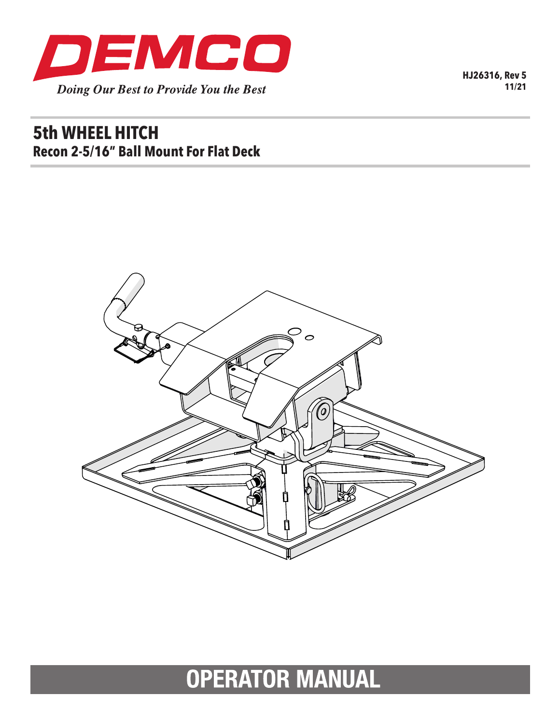

**HJ26316, Rev 5 11/21**

# **5th WHEEL HITCH Recon 2-5/16" Ball Mount For Flat Deck**



**OPERATOR MANUAL**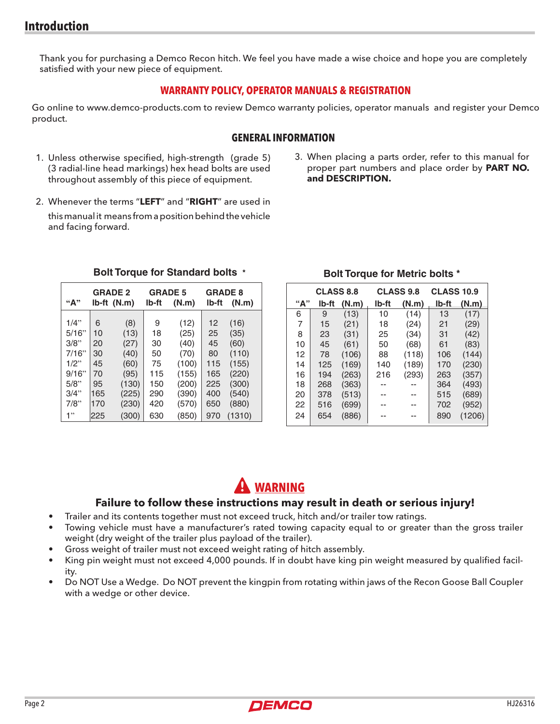Thank you for purchasing a Demco Recon hitch. We feel you have made a wise choice and hope you are completely satisfied with your new piece of equipment.

#### **WARRANTY POLICY, OPERATOR MANUALS & REGISTRATION**

Go online to www.demco-products.com to review Demco warranty policies, operator manuals and register your Demco product.

#### **GENERAL INFORMATION**

- 1. Unless otherwise specified, high-strength (grade 5) (3 radial-line head markings) hex head bolts are used throughout assembly of this piece of equipment.
- 3. When placing a parts order, refer to this manual for proper part numbers and place order by **PART NO. and DESCRIPTION.**
- 2. Whenever the terms "**LEFT**" and "**RIGHT**" are used in this manual it means from a position behind the vehicle and facing forward.

| ``A"    | <b>GRADE 2</b><br>Ib-ft (N.m) |       | <b>GRADE 5</b><br>lb-ft<br>(N.m) |       | <b>GRADE 8</b><br>lb-ft<br>(N.m) |        |
|---------|-------------------------------|-------|----------------------------------|-------|----------------------------------|--------|
| $1/4$ " | 6                             | (8)   | 9                                | (12)  | 12                               | (16)   |
| 5/16"   | 10                            | (13)  | 18                               | (25)  | 25                               | (35)   |
| 3/8"    | 20                            | (27)  | 30                               | (40)  | 45                               | (60)   |
| 7/16"   | 30                            | (40)  | 50                               | (70)  | 80                               | (110)  |
| $1/2$ " | 45                            | (60)  | 75                               | (100) | 115                              | (155)  |
| 9/16"   | 70                            | (95)  | 115                              | (155) | 165                              | (220)  |
| 5/8"    | 95                            | (130) | 150                              | (200) | 225                              | (300)  |
| 3/4"    | 165                           | (225) | 290                              | (390) | 400                              | (540)  |
| 7/8"    | 170                           | (230) | 420                              | (570) | 650                              | (880)  |
| 1"      | 225                           | (300) | 630                              | (850) | 970                              | (1310) |

#### **Bolt Torque for Standard bolts \***

## **Bolt Torque for Metric bolts \***

|     | <b>CLASS 8.8</b> |       | <b>CLASS 9.8</b> |       | <b>CLASS 10.9</b> |        |
|-----|------------------|-------|------------------|-------|-------------------|--------|
| "А" | lb-ft            | (N.m) | lb-ft            | (N.m) | lb-ft             | (N.m)  |
| 6   | 9                | (13)  | 10               | (14)  | 13                | (17)   |
| 7   | 15               | (21)  | 18               | (24)  | 21                | (29)   |
| 8   | 23               | (31)  | 25               | (34)  | 31                | (42)   |
| 10  | 45               | (61)  | 50               | (68)  | 61                | (83)   |
| 12  | 78               | (106) | 88               | (118) | 106               | (144)  |
| 14  | 125              | (169) | 140              | (189) | 170               | (230)  |
| 16  | 194              | (263) | 216              | (293) | 263               | (357)  |
| 18  | 268              | (363) |                  |       | 364               | (493)  |
| 20  | 378              | (513) |                  |       | 515               | (689)  |
| 22  | 516              | (699) |                  |       | 702               | (952)  |
| 24  | 654              | (886) |                  |       | 890               | (1206) |

# **Warning**

#### **Failure to follow these instructions may result in death or serious injury!**

- Trailer and its contents together must not exceed truck, hitch and/or trailer tow ratings.
- Towing vehicle must have a manufacturer's rated towing capacity equal to or greater than the gross trailer weight (dry weight of the trailer plus payload of the trailer).
- Gross weight of trailer must not exceed weight rating of hitch assembly.
- King pin weight must not exceed 4,000 pounds. If in doubt have king pin weight measured by qualified facility.
- Do NOT Use a Wedge. Do NOT prevent the kingpin from rotating within jaws of the Recon Goose Ball Coupler with a wedge or other device.

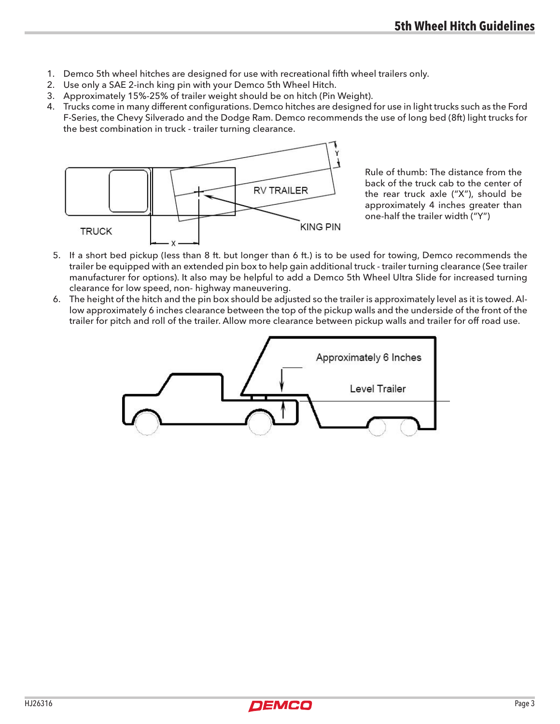- 1. Demco 5th wheel hitches are designed for use with recreational fifth wheel trailers only.
- 2. Use only a SAE 2-inch king pin with your Demco 5th Wheel Hitch.
- 3. Approximately 15%-25% of trailer weight should be on hitch (Pin Weight).
- 4. Trucks come in many different configurations. Demco hitches are designed for use in light trucks such as the Ford F-Series, the Chevy Silverado and the Dodge Ram. Demco recommends the use of long bed (8ft) light trucks for the best combination in truck - trailer turning clearance.



Rule of thumb: The distance from the back of the truck cab to the center of the rear truck axle ("X"), should be approximately 4 inches greater than one-half the trailer width ("Y")

- 5. If a short bed pickup (less than 8 ft. but longer than 6 ft.) is to be used for towing, Demco recommends the trailer be equipped with an extended pin box to help gain additional truck - trailer turning clearance (See trailer manufacturer for options). It also may be helpful to add a Demco 5th Wheel Ultra Slide for increased turning clearance for low speed, non- highway maneuvering.
- 6. The height of the hitch and the pin box should be adjusted so the trailer is approximately level as it is towed. Allow approximately 6 inches clearance between the top of the pickup walls and the underside of the front of the trailer for pitch and roll of the trailer. Allow more clearance between pickup walls and trailer for off road use.



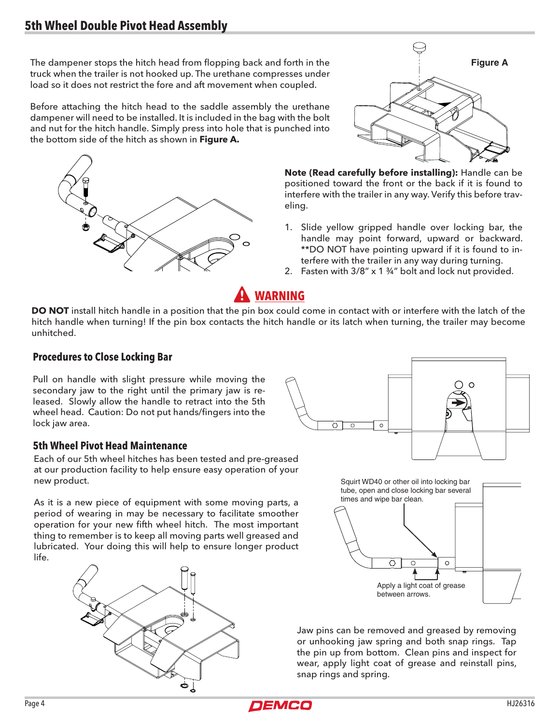The dampener stops the hitch head from flopping back and forth in the truck when the trailer is not hooked up. The urethane compresses under load so it does not restrict the fore and aft movement when coupled.

Before attaching the hitch head to the saddle assembly the urethane dampener will need to be installed. It is included in the bag with the bolt and nut for the hitch handle. Simply press into hole that is punched into the bottom side of the hitch as shown in **Figure A.**





**Note (Read carefully before installing):** Handle can be positioned toward the front or the back if it is found to interfere with the trailer in any way. Verify this before traveling.

- 1. Slide yellow gripped handle over locking bar, the handle may point forward, upward or backward. \*\*DO NOT have pointing upward if it is found to interfere with the trailer in any way during turning.
- 2. Fasten with 3/8" x 1 ¾" bolt and lock nut provided.

# **Warning**

**DO NOT** install hitch handle in a position that the pin box could come in contact with or interfere with the latch of the hitch handle when turning! If the pin box contacts the hitch handle or its latch when turning, the trailer may become unhitched.

#### **Procedures to Close Locking Bar**

Pull on handle with slight pressure while moving the secondary jaw to the right until the primary jaw is released. Slowly allow the handle to retract into the 5th wheel head. Caution: Do not put hands/fingers into the lock jaw area.

#### **5th Wheel Pivot Head Maintenance**

Each of our 5th wheel hitches has been tested and pre-greased at our production facility to help ensure easy operation of your new product.

As it is a new piece of equipment with some moving parts, a period of wearing in may be necessary to facilitate smoother operation for your new fifth wheel hitch. The most important thing to remember is to keep all moving parts well greased and lubricated. Your doing this will help to ensure longer product life.







Jaw pins can be removed and greased by removing or unhooking jaw spring and both snap rings. Tap the pin up from bottom. Clean pins and inspect for wear, apply light coat of grease and reinstall pins, snap rings and spring.

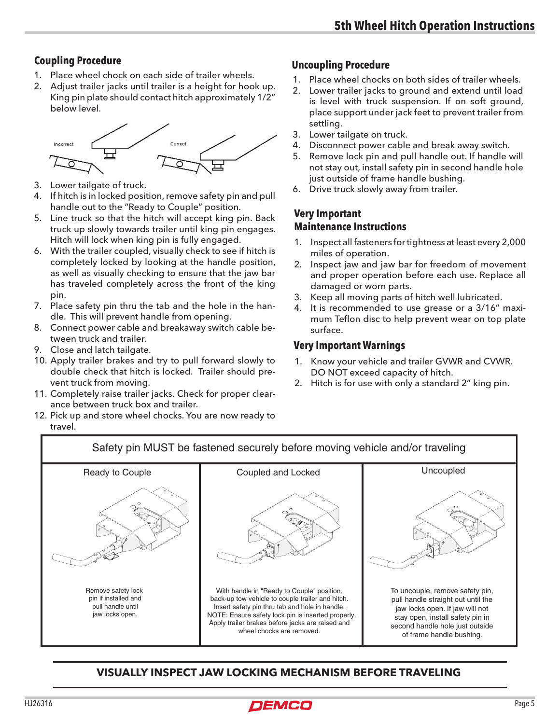- 1. Place wheel chock on each side of trailer wheels.
- 2. Adjust trailer jacks until trailer is a height for hook up. King pin plate should contact hitch approximately 1/2" below level.



- 3. Lower tailgate of truck.
- 4. If hitch is in locked position, remove safety pin and pull handle out to the "Ready to Couple" position.
- 5. Line truck so that the hitch will accept king pin. Back truck up slowly towards trailer until king pin engages. Hitch will lock when king pin is fully engaged.
- 6. With the trailer coupled, visually check to see if hitch is completely locked by looking at the handle position, as well as visually checking to ensure that the jaw bar has traveled completely across the front of the king pin.
- 7. Place safety pin thru the tab and the hole in the handle. This will prevent handle from opening.
- 8. Connect power cable and breakaway switch cable between truck and trailer.
- 9. Close and latch tailgate.
- 10. Apply trailer brakes and try to pull forward slowly to double check that hitch is locked. Trailer should prevent truck from moving.
- 11. Completely raise trailer jacks. Check for proper clearance between truck box and trailer.
- 12. Pick up and store wheel chocks. You are now ready to travel.

## **Coupling Procedure Uncoupling Procedure**

- 1. Place wheel chocks on both sides of trailer wheels.
- 2. Lower trailer jacks to ground and extend until load is level with truck suspension. If on soft ground, place support under jack feet to prevent trailer from settling.
- 3. Lower tailgate on truck.
- 4. Disconnect power cable and break away switch.
- 5. Remove lock pin and pull handle out. If handle will not stay out, install safety pin in second handle hole just outside of frame handle bushing.
- 6. Drive truck slowly away from trailer.

### **Very Important Maintenance Instructions**

- 1. Inspect all fasteners for tightness at least every 2,000 miles of operation.
- 2. Inspect jaw and jaw bar for freedom of movement and proper operation before each use. Replace all damaged or worn parts.
- 3. Keep all moving parts of hitch well lubricated.
- 4. It is recommended to use grease or a 3/16" maximum Teflon disc to help prevent wear on top plate surface.

#### **Very Important Warnings**

- 1. Know your vehicle and trailer GVWR and CVWR. DO NOT exceed capacity of hitch.
- 2. Hitch is for use with only a standard 2" king pin.



## **VISUALLY INSPECT JAW LOCKING MECHANISM BEFORE TRAVELING**

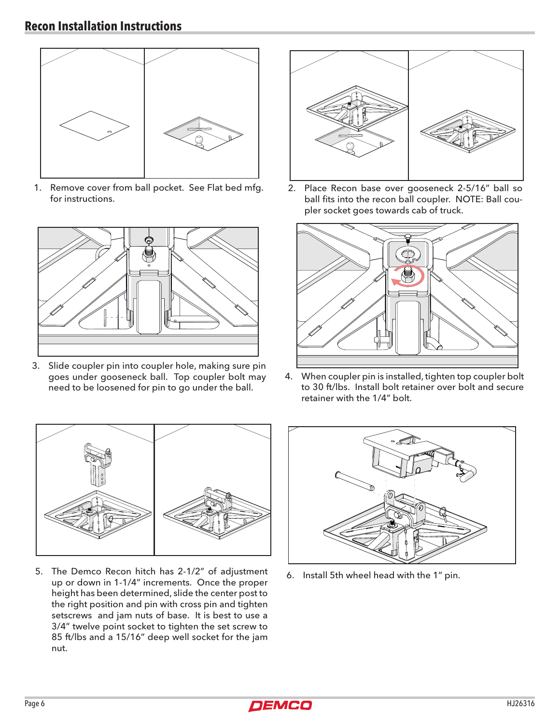

1. Remove cover from ball pocket. See Flat bed mfg. for instructions.



3. Slide coupler pin into coupler hole, making sure pin goes under gooseneck ball. Top coupler bolt may need to be loosened for pin to go under the ball.



2. Place Recon base over gooseneck 2-5/16" ball so ball fits into the recon ball coupler. NOTE: Ball coupler socket goes towards cab of truck.



4. When coupler pin is installed, tighten top coupler bolt to 30 ft/lbs. Install bolt retainer over bolt and secure retainer with the 1/4" bolt.



5. The Demco Recon hitch has 2-1/2" of adjustment up or down in 1-1/4" increments. Once the proper height has been determined, slide the center post to the right position and pin with cross pin and tighten setscrews and jam nuts of base. It is best to use a 3/4" twelve point socket to tighten the set screw to 85 ft/lbs and a 15/16" deep well socket for the jam nut.



6. Install 5th wheel head with the 1" pin.

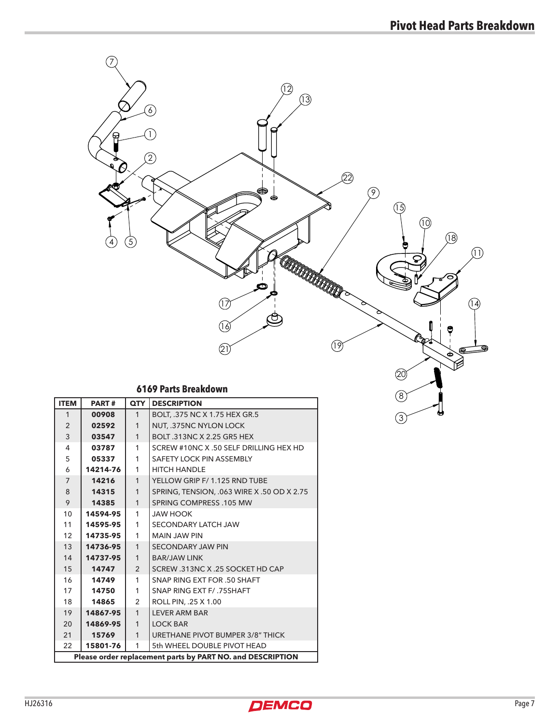

| $\overline{7}$                                             | 14216    | 1              | YELLOW GRIP F/ 1.125 RND TUBE              |  |
|------------------------------------------------------------|----------|----------------|--------------------------------------------|--|
| 8                                                          | 14315    | 1              | SPRING, TENSION, .063 WIRE X .50 OD X 2.75 |  |
| 9                                                          | 14385    | 1              | SPRING COMPRESS .105 MW                    |  |
| 10                                                         | 14594-95 | 1              | <b>JAW HOOK</b>                            |  |
| 11                                                         | 14595-95 | 1              | <b>SECONDARY LATCH JAW</b>                 |  |
| 12                                                         | 14735-95 | 1              | <b>MAIN JAW PIN</b>                        |  |
| 13                                                         | 14736-95 | 1              | <b>SECONDARY JAW PIN</b>                   |  |
| 14                                                         | 14737-95 | 1              | <b>BAR/JAW LINK</b>                        |  |
| 15                                                         | 14747    | $\overline{2}$ | SCREW .313NC X .25 SOCKET HD CAP           |  |
| 16                                                         | 14749    | 1              | SNAP RING EXT FOR .50 SHAFT                |  |
| 17                                                         | 14750    | 1              | SNAP RING EXT F/ .75SHAFT                  |  |
| 18                                                         | 14865    | $\overline{2}$ | ROLL PIN, .25 X 1.00                       |  |
| 19                                                         | 14867-95 | 1              | <b>LEVER ARM BAR</b>                       |  |
| 20                                                         | 14869-95 | 1              | <b>LOCK BAR</b>                            |  |
| 21                                                         | 15769    | 1              | URETHANE PIVOT BUMPER 3/8" THICK           |  |
| 22                                                         | 15801-76 | 1              | 5th WHEEL DOUBLE PIVOT HEAD                |  |
| Please order replacement parts by PART NO. and DESCRIPTION |          |                |                                            |  |